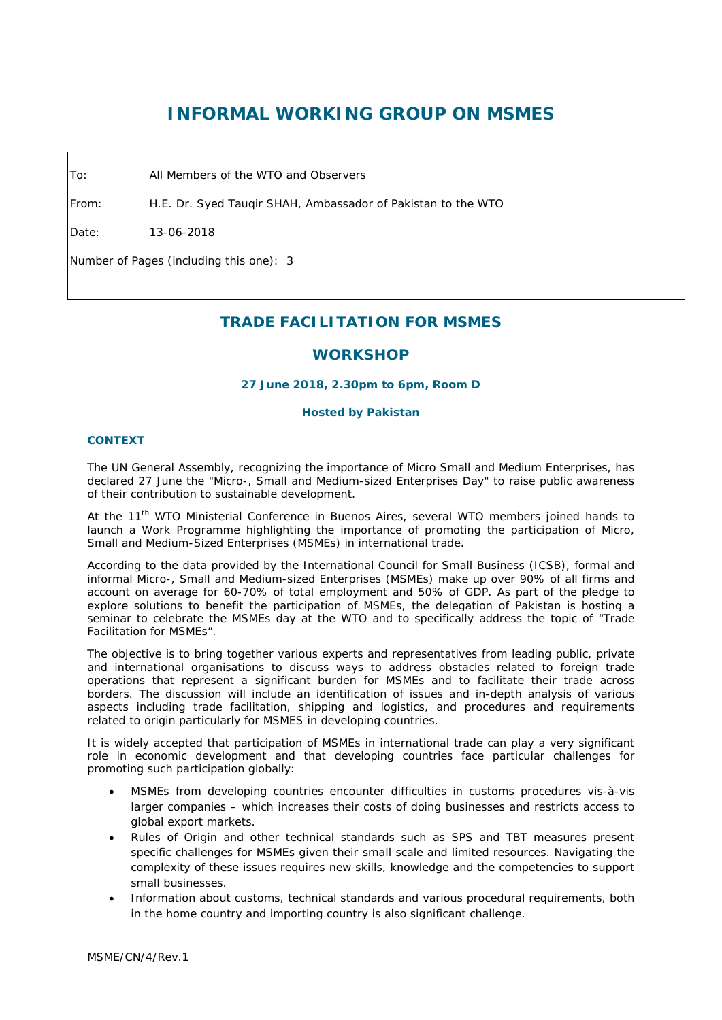# **INFORMAL WORKING GROUP ON MSMES**

To: All Members of the WTO and Observers

From: H.E. Dr. Syed Tauqir SHAH, Ambassador of Pakistan to the WTO

Date: 13-06-2018

Number of Pages (including this one): 3

# **TRADE FACILITATION FOR MSMES**

# **WORKSHOP**

## **27 June 2018, 2.30pm to 6pm, Room D**

#### **Hosted by Pakistan**

### **CONTEXT**

The UN General Assembly, recognizing the importance of Micro Small and Medium Enterprises, has declared 27 June the "Micro-, Small and Medium-sized Enterprises Day" to raise public awareness of their contribution to sustainable development.

At the 11<sup>th</sup> WTO Ministerial Conference in Buenos Aires, several WTO members joined hands to launch a Work Programme highlighting the importance of promoting the participation of Micro, Small and Medium-Sized Enterprises (MSMEs) in international trade.

According to the data provided by the International Council for Small Business (ICSB), formal and informal Micro-, Small and Medium-sized Enterprises (MSMEs) make up over 90% of all firms and account on average for 60-70% of total employment and 50% of GDP. As part of the pledge to explore solutions to benefit the participation of MSMEs, the delegation of Pakistan is hosting a seminar to celebrate the MSMEs day at the WTO and to specifically address the topic of "Trade Facilitation for MSMEs".

The objective is to bring together various experts and representatives from leading public, private and international organisations to discuss ways to address obstacles related to foreign trade operations that represent a significant burden for MSMEs and to facilitate their trade across borders. The discussion will include an identification of issues and in-depth analysis of various aspects including trade facilitation, shipping and logistics, and procedures and requirements related to origin particularly for MSMES in developing countries.

It is widely accepted that participation of MSMEs in international trade can play a very significant role in economic development and that developing countries face particular challenges for promoting such participation globally:

- MSMEs from developing countries encounter difficulties in customs procedures vis-à-vis larger companies – which increases their costs of doing businesses and restricts access to global export markets.
- Rules of Origin and other technical standards such as SPS and TBT measures present specific challenges for MSMEs given their small scale and limited resources. Navigating the complexity of these issues requires new skills, knowledge and the competencies to support small businesses.
- Information about customs, technical standards and various procedural requirements, both in the home country and importing country is also significant challenge.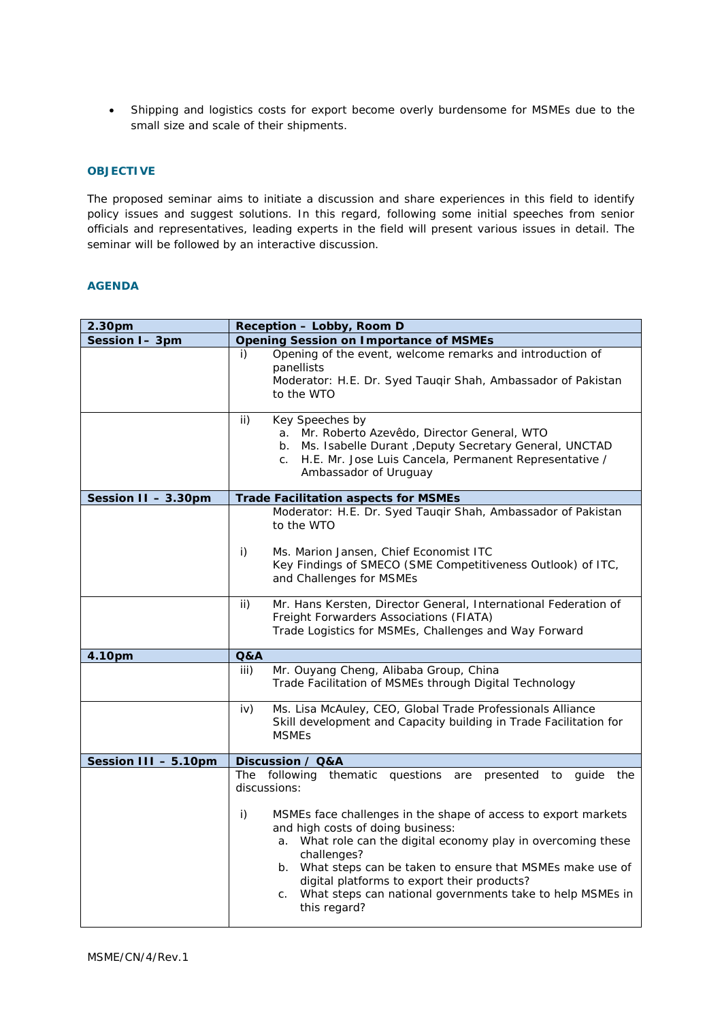• Shipping and logistics costs for export become overly burdensome for MSMEs due to the small size and scale of their shipments.

## **OBJECTIVE**

The proposed seminar aims to initiate a discussion and share experiences in this field to identify policy issues and suggest solutions. In this regard, following some initial speeches from senior officials and representatives, leading experts in the field will present various issues in detail. The seminar will be followed by an interactive discussion.

# **AGENDA**

| 2.30pm               | Reception - Lobby, Room D                                                                                                                                                                                                                                                                                                                                                                                                                                                       |  |  |
|----------------------|---------------------------------------------------------------------------------------------------------------------------------------------------------------------------------------------------------------------------------------------------------------------------------------------------------------------------------------------------------------------------------------------------------------------------------------------------------------------------------|--|--|
| Session I-3pm        | <b>Opening Session on Importance of MSMEs</b>                                                                                                                                                                                                                                                                                                                                                                                                                                   |  |  |
|                      | Opening of the event, welcome remarks and introduction of<br>i)<br>panellists<br>Moderator: H.E. Dr. Syed Tauqir Shah, Ambassador of Pakistan<br>to the WTO                                                                                                                                                                                                                                                                                                                     |  |  |
|                      | ii)<br>Key Speeches by<br>a. Mr. Roberto Azevêdo, Director General, WTO<br>Ms. Isabelle Durant , Deputy Secretary General, UNCTAD<br>b.<br>H.E. Mr. Jose Luis Cancela, Permanent Representative /<br>C.<br>Ambassador of Uruguay                                                                                                                                                                                                                                                |  |  |
| Session II - 3.30pm  | <b>Trade Facilitation aspects for MSMEs</b>                                                                                                                                                                                                                                                                                                                                                                                                                                     |  |  |
|                      | Moderator: H.E. Dr. Syed Taugir Shah, Ambassador of Pakistan<br>to the WTO<br>i)<br>Ms. Marion Jansen, Chief Economist ITC<br>Key Findings of SMECO (SME Competitiveness Outlook) of ITC,<br>and Challenges for MSMEs                                                                                                                                                                                                                                                           |  |  |
|                      | Mr. Hans Kersten, Director General, International Federation of<br>ii)<br>Freight Forwarders Associations (FIATA)<br>Trade Logistics for MSMEs, Challenges and Way Forward                                                                                                                                                                                                                                                                                                      |  |  |
| 4.10pm               | <b>Q&amp;A</b>                                                                                                                                                                                                                                                                                                                                                                                                                                                                  |  |  |
|                      | iii)<br>Mr. Ouyang Cheng, Alibaba Group, China<br>Trade Facilitation of MSMEs through Digital Technology                                                                                                                                                                                                                                                                                                                                                                        |  |  |
|                      | Ms. Lisa McAuley, CEO, Global Trade Professionals Alliance<br>iv)<br>Skill development and Capacity building in Trade Facilitation for<br><b>MSMEs</b>                                                                                                                                                                                                                                                                                                                          |  |  |
| Session III - 5.10pm | Discussion / Q&A                                                                                                                                                                                                                                                                                                                                                                                                                                                                |  |  |
|                      | The following thematic questions are<br>presented<br>to quide the<br>discussions:<br>MSMEs face challenges in the shape of access to export markets<br>i)<br>and high costs of doing business:<br>a. What role can the digital economy play in overcoming these<br>challenges?<br>b. What steps can be taken to ensure that MSMEs make use of<br>digital platforms to export their products?<br>What steps can national governments take to help MSMEs in<br>C.<br>this regard? |  |  |